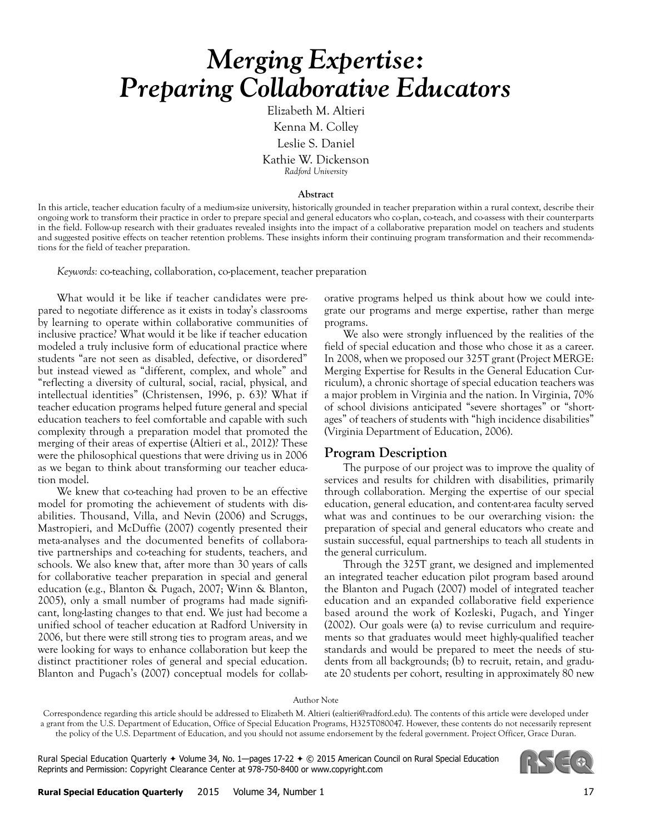# *Merging Expertise: Preparing Collaborative Educators*

Elizabeth M. Altieri Kenna M. Colley Leslie S. Daniel Kathie W. Dickenson *Radford University*

#### **Abstract**

In this article, teacher education faculty of a medium-size university, historically grounded in teacher preparation within a rural context, describe their ongoing work to transform their practice in order to prepare special and general educators who co-plan, co-teach, and co-assess with their counterparts in the field. Follow-up research with their graduates revealed insights into the impact of a collaborative preparation model on teachers and students and suggested positive effects on teacher retention problems. These insights inform their continuing program transformation and their recommendations for the field of teacher preparation.

*Keywords:* co-teaching, collaboration, co-placement, teacher preparation

What would it be like if teacher candidates were prepared to negotiate difference as it exists in today's classrooms by learning to operate within collaborative communities of inclusive practice? What would it be like if teacher education modeled a truly inclusive form of educational practice where students "are not seen as disabled, defective, or disordered" but instead viewed as "different, complex, and whole" and "reflecting a diversity of cultural, social, racial, physical, and intellectual identities" (Christensen, 1996, p. 63)? What if teacher education programs helped future general and special education teachers to feel comfortable and capable with such complexity through a preparation model that promoted the merging of their areas of expertise (Altieri et al., 2012)? These were the philosophical questions that were driving us in 2006 as we began to think about transforming our teacher education model.

We knew that co-teaching had proven to be an effective model for promoting the achievement of students with disabilities. Thousand, Villa, and Nevin (2006) and Scruggs, Mastropieri, and McDuffie (2007) cogently presented their meta-analyses and the documented benefits of collaborative partnerships and co-teaching for students, teachers, and schools. We also knew that, after more than 30 years of calls for collaborative teacher preparation in special and general education (e.g., Blanton & Pugach, 2007; Winn & Blanton, 2005), only a small number of programs had made significant, long-lasting changes to that end. We just had become a unified school of teacher education at Radford University in 2006, but there were still strong ties to program areas, and we were looking for ways to enhance collaboration but keep the distinct practitioner roles of general and special education. Blanton and Pugach's (2007) conceptual models for collaborative programs helped us think about how we could integrate our programs and merge expertise, rather than merge programs.

We also were strongly influenced by the realities of the field of special education and those who chose it as a career. In 2008, when we proposed our 325T grant (Project MERGE: Merging Expertise for Results in the General Education Curriculum), a chronic shortage of special education teachers was a major problem in Virginia and the nation. In Virginia, 70% of school divisions anticipated "severe shortages" or "shortages" of teachers of students with "high incidence disabilities" (Virginia Department of Education, 2006).

# **Program Description**

The purpose of our project was to improve the quality of services and results for children with disabilities, primarily through collaboration. Merging the expertise of our special education, general education, and content-area faculty served what was and continues to be our overarching vision: the preparation of special and general educators who create and sustain successful, equal partnerships to teach all students in the general curriculum.

Through the 325T grant, we designed and implemented an integrated teacher education pilot program based around the Blanton and Pugach (2007) model of integrated teacher education and an expanded collaborative field experience based around the work of Kozleski, Pugach, and Yinger (2002). Our goals were (a) to revise curriculum and requirements so that graduates would meet highly-qualified teacher standards and would be prepared to meet the needs of students from all backgrounds; (b) to recruit, retain, and graduate 20 students per cohort, resulting in approximately 80 new

Author Note

Correspondence regarding this article should be addressed to Elizabeth M. Altieri (ealtieri@radford.edu). The contents of this article were developed under a grant from the U.S. Department of Education, Office of Special Education Programs, H325T080047. However, these contents do not necessarily represent the policy of the U.S. Department of Education, and you should not assume endorsement by the federal government. Project Officer, Grace Duran.

Rural Special Education Quarterly  $\ast$  Volume 34, No. 1—pages 17-22  $\ast$  © 2015 American Council on Rural Special Education Reprints and Permission: Copyright Clearance Center at 978-750-8400 or www.copyright.com

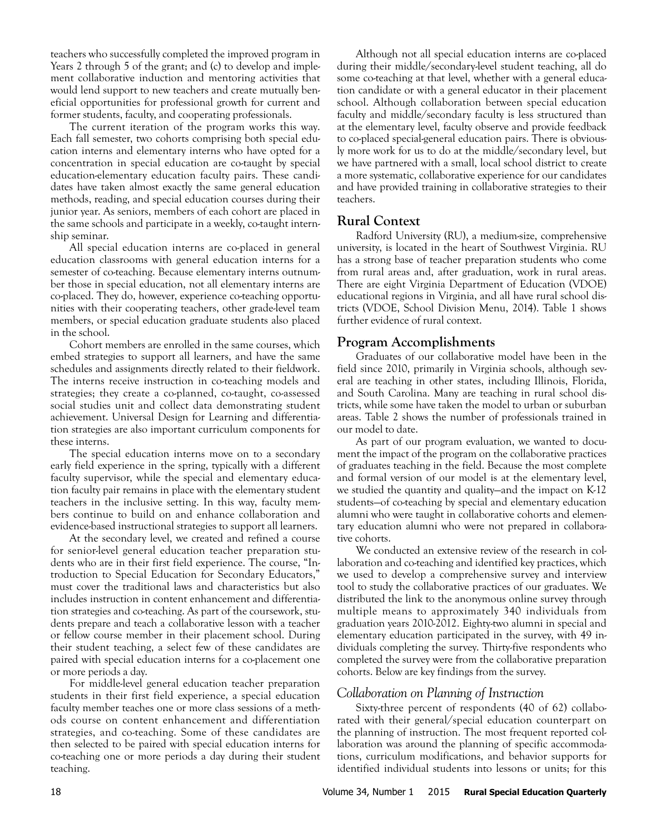teachers who successfully completed the improved program in Years 2 through 5 of the grant; and (c) to develop and implement collaborative induction and mentoring activities that would lend support to new teachers and create mutually beneficial opportunities for professional growth for current and former students, faculty, and cooperating professionals.

The current iteration of the program works this way. Each fall semester, two cohorts comprising both special education interns and elementary interns who have opted for a concentration in special education are co-taught by special education-elementary education faculty pairs. These candidates have taken almost exactly the same general education methods, reading, and special education courses during their junior year. As seniors, members of each cohort are placed in the same schools and participate in a weekly, co-taught internship seminar.

All special education interns are co-placed in general education classrooms with general education interns for a semester of co-teaching. Because elementary interns outnumber those in special education, not all elementary interns are co-placed. They do, however, experience co-teaching opportunities with their cooperating teachers, other grade-level team members, or special education graduate students also placed in the school.

Cohort members are enrolled in the same courses, which embed strategies to support all learners, and have the same schedules and assignments directly related to their fieldwork. The interns receive instruction in co-teaching models and strategies; they create a co-planned, co-taught, co-assessed social studies unit and collect data demonstrating student achievement. Universal Design for Learning and differentiation strategies are also important curriculum components for these interns.

The special education interns move on to a secondary early field experience in the spring, typically with a different faculty supervisor, while the special and elementary education faculty pair remains in place with the elementary student teachers in the inclusive setting. In this way, faculty members continue to build on and enhance collaboration and evidence-based instructional strategies to support all learners.

At the secondary level, we created and refined a course for senior-level general education teacher preparation students who are in their first field experience. The course, "Introduction to Special Education for Secondary Educators," must cover the traditional laws and characteristics but also includes instruction in content enhancement and differentiation strategies and co-teaching. As part of the coursework, students prepare and teach a collaborative lesson with a teacher or fellow course member in their placement school. During their student teaching, a select few of these candidates are paired with special education interns for a co-placement one or more periods a day.

For middle-level general education teacher preparation students in their first field experience, a special education faculty member teaches one or more class sessions of a methods course on content enhancement and differentiation strategies, and co-teaching. Some of these candidates are then selected to be paired with special education interns for co-teaching one or more periods a day during their student teaching.

Although not all special education interns are co-placed during their middle/secondary-level student teaching, all do some co-teaching at that level, whether with a general education candidate or with a general educator in their placement school. Although collaboration between special education faculty and middle/secondary faculty is less structured than at the elementary level, faculty observe and provide feedback to co-placed special-general education pairs. There is obviously more work for us to do at the middle/secondary level, but we have partnered with a small, local school district to create a more systematic, collaborative experience for our candidates and have provided training in collaborative strategies to their teachers.

# **Rural Context**

Radford University (RU), a medium-size, comprehensive university, is located in the heart of Southwest Virginia. RU has a strong base of teacher preparation students who come from rural areas and, after graduation, work in rural areas. There are eight Virginia Department of Education (VDOE) educational regions in Virginia, and all have rural school districts (VDOE, School Division Menu, 2014). Table 1 shows further evidence of rural context.

# **Program Accomplishments**

Graduates of our collaborative model have been in the field since 2010, primarily in Virginia schools, although several are teaching in other states, including Illinois, Florida, and South Carolina. Many are teaching in rural school districts, while some have taken the model to urban or suburban areas. Table 2 shows the number of professionals trained in our model to date.

As part of our program evaluation, we wanted to document the impact of the program on the collaborative practices of graduates teaching in the field. Because the most complete and formal version of our model is at the elementary level, we studied the quantity and quality—and the impact on K-12 students—of co-teaching by special and elementary education alumni who were taught in collaborative cohorts and elementary education alumni who were not prepared in collaborative cohorts.

We conducted an extensive review of the research in collaboration and co-teaching and identified key practices, which we used to develop a comprehensive survey and interview tool to study the collaborative practices of our graduates. We distributed the link to the anonymous online survey through multiple means to approximately 340 individuals from graduation years 2010-2012. Eighty-two alumni in special and elementary education participated in the survey, with 49 individuals completing the survey. Thirty-five respondents who completed the survey were from the collaborative preparation cohorts. Below are key findings from the survey.

# *Collaboration on Planning of Instruction*

Sixty-three percent of respondents (40 of 62) collaborated with their general/special education counterpart on the planning of instruction. The most frequent reported collaboration was around the planning of specific accommodations, curriculum modifications, and behavior supports for identified individual students into lessons or units; for this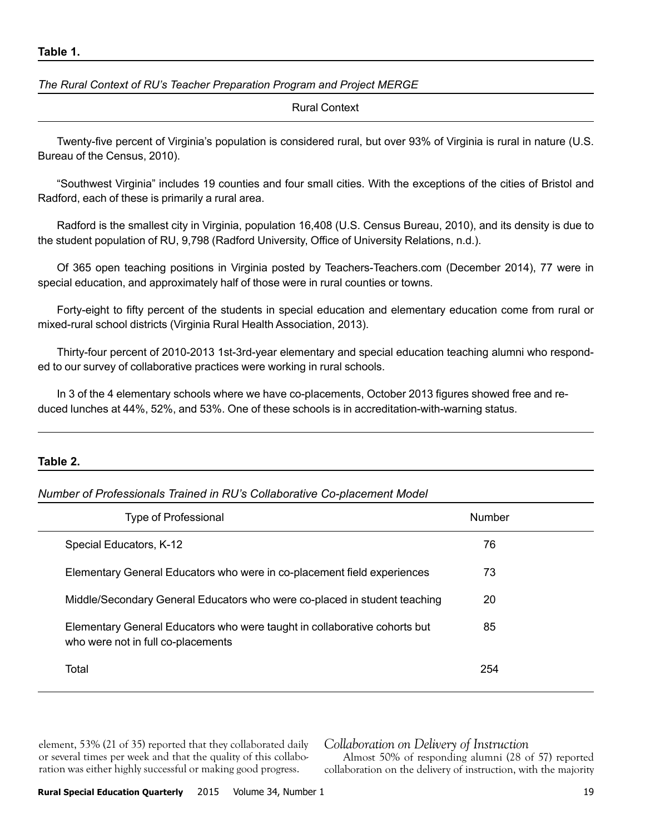## *The Rural Context of RU's Teacher Preparation Program and Project MERGE*

Rural Context

Twenty-five percent of Virginia's population is considered rural, but over 93% of Virginia is rural in nature (U.S. Bureau of the Census, 2010).

"Southwest Virginia" includes 19 counties and four small cities. With the exceptions of the cities of Bristol and Radford, each of these is primarily a rural area.

Radford is the smallest city in Virginia, population 16,408 (U.S. Census Bureau, 2010), and its density is due to the student population of RU, 9,798 (Radford University, Office of University Relations, n.d.).

Of 365 open teaching positions in Virginia posted by Teachers-Teachers.com (December 2014), 77 were in special education, and approximately half of those were in rural counties or towns.

Forty-eight to fifty percent of the students in special education and elementary education come from rural or mixed-rural school districts (Virginia Rural Health Association, 2013).

Thirty-four percent of 2010-2013 1st-3rd-year elementary and special education teaching alumni who responded to our survey of collaborative practices were working in rural schools.

In 3 of the 4 elementary schools where we have co-placements, October 2013 figures showed free and reduced lunches at 44%, 52%, and 53%. One of these schools is in accreditation-with-warning status.

#### **Table 2.**

#### *Number of Professionals Trained in RU's Collaborative Co-placement Model*

| <b>Type of Professional</b>                                                                                     | Number |
|-----------------------------------------------------------------------------------------------------------------|--------|
| Special Educators, K-12                                                                                         | 76     |
| Elementary General Educators who were in co-placement field experiences                                         | 73     |
| Middle/Secondary General Educators who were co-placed in student teaching                                       | 20     |
| Elementary General Educators who were taught in collaborative cohorts but<br>who were not in full co-placements | 85     |
| Total                                                                                                           | 254    |

element, 53% (21 of 35) reported that they collaborated daily or several times per week and that the quality of this collaboration was either highly successful or making good progress.

# *Collaboration on Delivery of Instruction*

Almost 50% of responding alumni (28 of 57) reported collaboration on the delivery of instruction, with the majority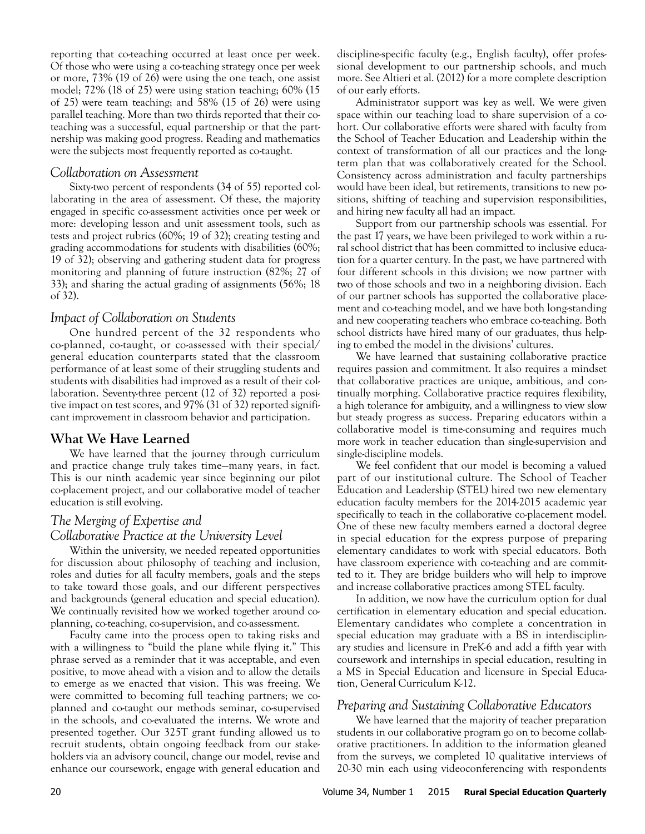reporting that co-teaching occurred at least once per week. Of those who were using a co-teaching strategy once per week or more, 73% (19 of 26) were using the one teach, one assist model; 72% (18 of 25) were using station teaching; 60% (15 of 25) were team teaching; and 58% (15 of 26) were using parallel teaching. More than two thirds reported that their coteaching was a successful, equal partnership or that the partnership was making good progress. Reading and mathematics were the subjects most frequently reported as co-taught.

#### *Collaboration on Assessment*

Sixty-two percent of respondents (34 of 55) reported collaborating in the area of assessment. Of these, the majority engaged in specific co-assessment activities once per week or more: developing lesson and unit assessment tools, such as tests and project rubrics (60%; 19 of 32); creating testing and grading accommodations for students with disabilities (60%; 19 of 32); observing and gathering student data for progress monitoring and planning of future instruction (82%; 27 of 33); and sharing the actual grading of assignments (56%; 18 of 32).

### *Impact of Collaboration on Students*

One hundred percent of the 32 respondents who co-planned, co-taught, or co-assessed with their special/ general education counterparts stated that the classroom performance of at least some of their struggling students and students with disabilities had improved as a result of their collaboration. Seventy-three percent (12 of 32) reported a positive impact on test scores, and 97% (31 of 32) reported significant improvement in classroom behavior and participation.

# **What We Have Learned**

We have learned that the journey through curriculum and practice change truly takes time—many years, in fact. This is our ninth academic year since beginning our pilot co-placement project, and our collaborative model of teacher education is still evolving.

# *The Merging of Expertise and*

#### *Collaborative Practice at the University Level* Within the university, we needed repeated opportunities

for discussion about philosophy of teaching and inclusion, roles and duties for all faculty members, goals and the steps to take toward those goals, and our different perspectives and backgrounds (general education and special education). We continually revisited how we worked together around coplanning, co-teaching, co-supervision, and co-assessment.

Faculty came into the process open to taking risks and with a willingness to "build the plane while flying it." This phrase served as a reminder that it was acceptable, and even positive, to move ahead with a vision and to allow the details to emerge as we enacted that vision. This was freeing. We were committed to becoming full teaching partners; we coplanned and co-taught our methods seminar, co-supervised in the schools, and co-evaluated the interns. We wrote and presented together. Our 325T grant funding allowed us to recruit students, obtain ongoing feedback from our stakeholders via an advisory council, change our model, revise and enhance our coursework, engage with general education and

discipline-specific faculty (e.g., English faculty), offer professional development to our partnership schools, and much more. See Altieri et al. (2012) for a more complete description of our early efforts.

Administrator support was key as well. We were given space within our teaching load to share supervision of a cohort. Our collaborative efforts were shared with faculty from the School of Teacher Education and Leadership within the context of transformation of all our practices and the longterm plan that was collaboratively created for the School. Consistency across administration and faculty partnerships would have been ideal, but retirements, transitions to new positions, shifting of teaching and supervision responsibilities, and hiring new faculty all had an impact.

Support from our partnership schools was essential. For the past 17 years, we have been privileged to work within a rural school district that has been committed to inclusive education for a quarter century. In the past, we have partnered with four different schools in this division; we now partner with two of those schools and two in a neighboring division. Each of our partner schools has supported the collaborative placement and co-teaching model, and we have both long-standing and new cooperating teachers who embrace co-teaching. Both school districts have hired many of our graduates, thus helping to embed the model in the divisions' cultures.

We have learned that sustaining collaborative practice requires passion and commitment. It also requires a mindset that collaborative practices are unique, ambitious, and continually morphing. Collaborative practice requires flexibility, a high tolerance for ambiguity, and a willingness to view slow but steady progress as success. Preparing educators within a collaborative model is time-consuming and requires much more work in teacher education than single-supervision and single-discipline models.

We feel confident that our model is becoming a valued part of our institutional culture. The School of Teacher Education and Leadership (STEL) hired two new elementary education faculty members for the 2014-2015 academic year specifically to teach in the collaborative co-placement model. One of these new faculty members earned a doctoral degree in special education for the express purpose of preparing elementary candidates to work with special educators. Both have classroom experience with co-teaching and are committed to it. They are bridge builders who will help to improve and increase collaborative practices among STEL faculty.

In addition, we now have the curriculum option for dual certification in elementary education and special education. Elementary candidates who complete a concentration in special education may graduate with a BS in interdisciplinary studies and licensure in PreK-6 and add a fifth year with coursework and internships in special education, resulting in a MS in Special Education and licensure in Special Education, General Curriculum K-12.

# *Preparing and Sustaining Collaborative Educators*

We have learned that the majority of teacher preparation students in our collaborative program go on to become collaborative practitioners. In addition to the information gleaned from the surveys, we completed 10 qualitative interviews of 20-30 min each using videoconferencing with respondents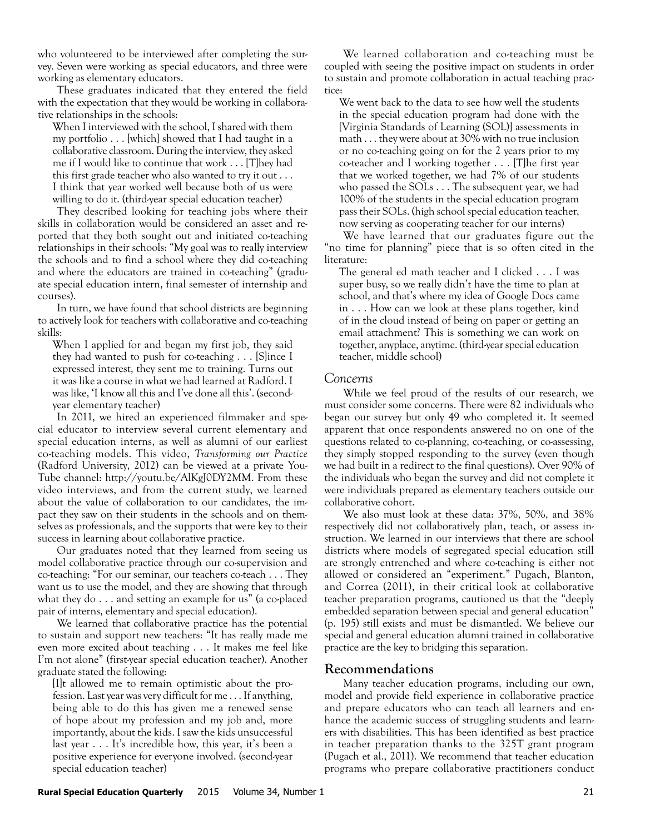who volunteered to be interviewed after completing the survey. Seven were working as special educators, and three were working as elementary educators.

These graduates indicated that they entered the field with the expectation that they would be working in collaborative relationships in the schools:

When I interviewed with the school, I shared with them my portfolio . . . [which] showed that I had taught in a collaborative classroom. During the interview, they asked me if I would like to continue that work . . . [T]hey had this first grade teacher who also wanted to try it out . . . I think that year worked well because both of us were willing to do it. (third-year special education teacher)

They described looking for teaching jobs where their skills in collaboration would be considered an asset and reported that they both sought out and initiated co-teaching relationships in their schools: "My goal was to really interview the schools and to find a school where they did co-teaching and where the educators are trained in co-teaching" (graduate special education intern, final semester of internship and courses).

In turn, we have found that school districts are beginning to actively look for teachers with collaborative and co-teaching skills:

When I applied for and began my first job, they said they had wanted to push for co-teaching . . . [S]ince I expressed interest, they sent me to training. Turns out it was like a course in what we had learned at Radford. I was like, 'I know all this and I've done all this'. (secondyear elementary teacher)

In 2011, we hired an experienced filmmaker and special educator to interview several current elementary and special education interns, as well as alumni of our earliest co-teaching models. This video, *Transforming our Practice* (Radford University, 2012) can be viewed at a private You-Tube channel: http://youtu.be/AlKgJ0DY2MM. From these video interviews, and from the current study, we learned about the value of collaboration to our candidates, the impact they saw on their students in the schools and on themselves as professionals, and the supports that were key to their success in learning about collaborative practice.

Our graduates noted that they learned from seeing us model collaborative practice through our co-supervision and co-teaching: "For our seminar, our teachers co-teach . . . They want us to use the model, and they are showing that through what they do . . . and setting an example for us" (a co-placed pair of interns, elementary and special education).

We learned that collaborative practice has the potential to sustain and support new teachers: "It has really made me even more excited about teaching . . . It makes me feel like I'm not alone" (first-year special education teacher). Another graduate stated the following:

[I]t allowed me to remain optimistic about the profession. Last year was very difficult for me . . . If anything, being able to do this has given me a renewed sense of hope about my profession and my job and, more importantly, about the kids. I saw the kids unsuccessful last year . . . It's incredible how, this year, it's been a positive experience for everyone involved. (second-year special education teacher)

We learned collaboration and co-teaching must be coupled with seeing the positive impact on students in order to sustain and promote collaboration in actual teaching practice:

We went back to the data to see how well the students in the special education program had done with the [Virginia Standards of Learning (SOL)] assessments in math . . . they were about at 30% with no true inclusion or no co-teaching going on for the 2 years prior to my co-teacher and I working together . . . [T]he first year that we worked together, we had 7% of our students who passed the SOLs . . . The subsequent year, we had 100% of the students in the special education program pass their SOLs. (high school special education teacher, now serving as cooperating teacher for our interns)

We have learned that our graduates figure out the "no time for planning" piece that is so often cited in the literature:

The general ed math teacher and I clicked . . . I was super busy, so we really didn't have the time to plan at school, and that's where my idea of Google Docs came in . . . How can we look at these plans together, kind of in the cloud instead of being on paper or getting an email attachment? This is something we can work on together, anyplace, anytime. (third-year special education teacher, middle school)

#### *Concerns*

While we feel proud of the results of our research, we must consider some concerns. There were 82 individuals who began our survey but only 49 who completed it. It seemed apparent that once respondents answered no on one of the questions related to co-planning, co-teaching, or co-assessing, they simply stopped responding to the survey (even though we had built in a redirect to the final questions). Over 90% of the individuals who began the survey and did not complete it were individuals prepared as elementary teachers outside our collaborative cohort.

We also must look at these data: 37%, 50%, and 38% respectively did not collaboratively plan, teach, or assess instruction. We learned in our interviews that there are school districts where models of segregated special education still are strongly entrenched and where co-teaching is either not allowed or considered an "experiment." Pugach, Blanton, and Correa (2011), in their critical look at collaborative teacher preparation programs, cautioned us that the "deeply embedded separation between special and general education" (p. 195) still exists and must be dismantled. We believe our special and general education alumni trained in collaborative practice are the key to bridging this separation.

# **Recommendations**

Many teacher education programs, including our own, model and provide field experience in collaborative practice and prepare educators who can teach all learners and enhance the academic success of struggling students and learners with disabilities. This has been identified as best practice in teacher preparation thanks to the 325T grant program (Pugach et al., 2011). We recommend that teacher education programs who prepare collaborative practitioners conduct